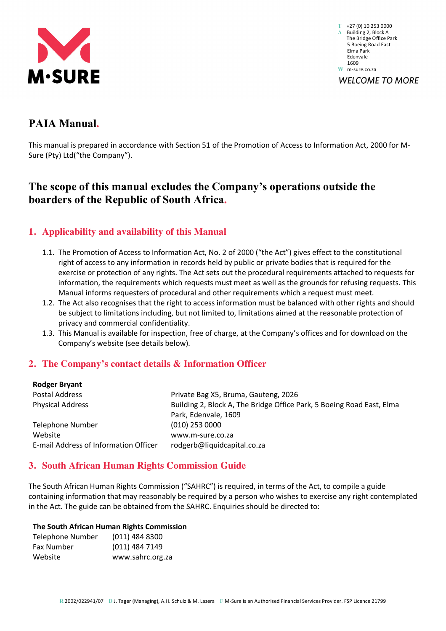

**T** +27 (0) 10 253 0000 **A** Building 2, Block A The Bridge Office Park 5 Boeing Road East Elma Park Edenvale 1609 **W** m-sure.co.za **WELCOME TO MORE** 

# **PAIA Manual.**

This manual is prepared in accordance with Section 51 of the Promotion of Access to Information Act, 2000 for M-Sure (Pty) Ltd("the Company").

# **The scope of this manual excludes the Company's operations outside the boarders of the Republic of South Africa.**

# **1. Applicability and availability of this Manual**

- 1.1. The Promotion of Access to Information Act, No. 2 of 2000 ("the Act") gives effect to the constitutional right of access to any information in records held by public or private bodies that is required for the exercise or protection of any rights. The Act sets out the procedural requirements attached to requests for information, the requirements which requests must meet as well as the grounds for refusing requests. This Manual informs requesters of procedural and other requirements which a request must meet.
- 1.2. The Act also recognises that the right to access information must be balanced with other rights and should be subject to limitations including, but not limited to, limitations aimed at the reasonable protection of privacy and commercial confidentiality.
- 1.3. This Manual is available for inspection, free of charge, at the Company's offices and for download on the Company's website (see details below).

# **2. The Company's contact details & Information Officer**

| <b>Rodger Bryant</b>                  |                                                                       |
|---------------------------------------|-----------------------------------------------------------------------|
| Postal Address                        | Private Bag X5, Bruma, Gauteng, 2026                                  |
| <b>Physical Address</b>               | Building 2, Block A, The Bridge Office Park, 5 Boeing Road East, Elma |
|                                       | Park, Edenvale, 1609                                                  |
| Telephone Number                      | $(010)$ 253 0000                                                      |
| Website                               | www.m-sure.co.za                                                      |
| E-mail Address of Information Officer | rodgerb@liquidcapital.co.za                                           |
|                                       |                                                                       |

# **3. South African Human Rights Commission Guide**

The South African Human Rights Commission ("SAHRC") is required, in terms of the Act, to compile a guide containing information that may reasonably be required by a person who wishes to exercise any right contemplated in the Act. The guide can be obtained from the SAHRC. Enquiries should be directed to:

#### **The South African Human Rights Commission**

| <b>Telephone Number</b> | $(011)$ 484 8300 |
|-------------------------|------------------|
| <b>Fax Number</b>       | (011) 484 7149   |
| Website                 | www.sahrc.org.za |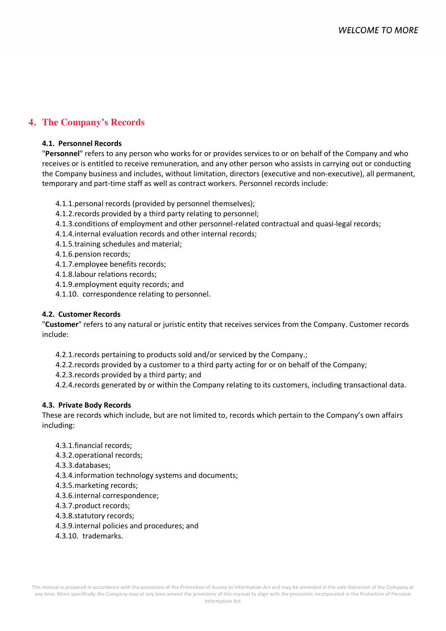# **4. The Company's Records**

#### **4.1. Personnel Records**

"**Personnel**" refers to any person who works for or provides services to or on behalf of the Company and who receives or is entitled to receive remuneration, and any other person who assists in carrying out or conducting the Company business and includes, without limitation, directors (executive and non-executive), all permanent, temporary and part-time staff as well as contract workers. Personnel records include:

- 4.1.1.personal records (provided by personnel themselves);
- 4.1.2.records provided by a third party relating to personnel;
- 4.1.3.conditions of employment and other personnel-related contractual and quasi-legal records;
- 4.1.4.internal evaluation records and other internal records;
- 4.1.5.training schedules and material;
- 4.1.6.pension records;
- 4.1.7.employee benefits records;
- 4.1.8.labour relations records;
- 4.1.9.employment equity records; and
- 4.1.10. correspondence relating to personnel.

#### **4.2. Customer Records**

"**Customer**" refers to any natural or juristic entity that receives services from the Company. Customer records include:

- 4.2.1.records pertaining to products sold and/or serviced by the Company.;
- 4.2.2.records provided by a customer to a third party acting for or on behalf of the Company;
- 4.2.3.records provided by a third party; and
- 4.2.4.records generated by or within the Company relating to its customers, including transactional data.

#### **4.3. Private Body Records**

These are records which include, but are not limited to, records which pertain to the Company's own affairs including:

- 4.3.1.financial records;
- 4.3.2.operational records;
- 4.3.3.databases;
- 4.3.4.information technology systems and documents;
- 4.3.5.marketing records;
- 4.3.6.internal correspondence;
- 4.3.7.product records;
- 4.3.8.statutory records;
- 4.3.9.internal policies and procedures; and
- 4.3.10. trademarks.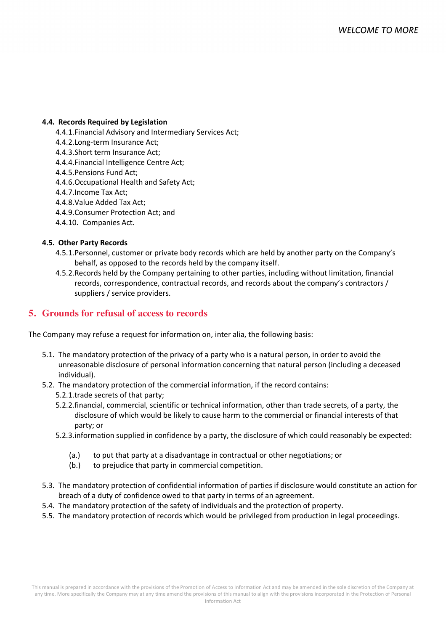#### **4.4. Records Required by Legislation**

- 4.4.1.Financial Advisory and Intermediary Services Act;
- 4.4.2.Long-term Insurance Act;
- 4.4.3.Short term Insurance Act;
- 4.4.4.Financial Intelligence Centre Act;
- 4.4.5.Pensions Fund Act;
- 4.4.6.Occupational Health and Safety Act;
- 4.4.7.Income Tax Act;
- 4.4.8.Value Added Tax Act;
- 4.4.9.Consumer Protection Act; and
- 4.4.10. Companies Act.

#### **4.5. Other Party Records**

- 4.5.1.Personnel, customer or private body records which are held by another party on the Company's behalf, as opposed to the records held by the company itself.
- 4.5.2.Records held by the Company pertaining to other parties, including without limitation, financial records, correspondence, contractual records, and records about the company's contractors / suppliers / service providers.

## **5. Grounds for refusal of access to records**

The Company may refuse a request for information on, inter alia, the following basis:

- 5.1. The mandatory protection of the privacy of a party who is a natural person, in order to avoid the unreasonable disclosure of personal information concerning that natural person (including a deceased individual).
- 5.2. The mandatory protection of the commercial information, if the record contains:
	- 5.2.1.trade secrets of that party;
	- 5.2.2.financial, commercial, scientific or technical information, other than trade secrets, of a party, the disclosure of which would be likely to cause harm to the commercial or financial interests of that party; or
	- 5.2.3.information supplied in confidence by a party, the disclosure of which could reasonably be expected:
		- (a.) to put that party at a disadvantage in contractual or other negotiations; or
		- (b.) to prejudice that party in commercial competition.
- 5.3. The mandatory protection of confidential information of parties if disclosure would constitute an action for breach of a duty of confidence owed to that party in terms of an agreement.
- 5.4. The mandatory protection of the safety of individuals and the protection of property.
- 5.5. The mandatory protection of records which would be privileged from production in legal proceedings.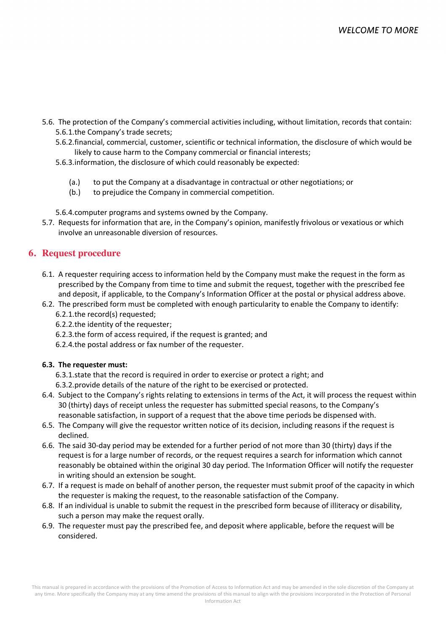- 5.6. The protection of the Company's commercial activities including, without limitation, records that contain: 5.6.1.the Company's trade secrets;
	- 5.6.2.financial, commercial, customer, scientific or technical information, the disclosure of which would be likely to cause harm to the Company commercial or financial interests;
	- 5.6.3.information, the disclosure of which could reasonably be expected:
		- (a.) to put the Company at a disadvantage in contractual or other negotiations; or
		- (b.) to prejudice the Company in commercial competition.

5.6.4.computer programs and systems owned by the Company.

5.7. Requests for information that are, in the Company's opinion, manifestly frivolous or vexatious or which involve an unreasonable diversion of resources.

## **6. Request procedure**

- 6.1. A requester requiring access to information held by the Company must make the request in the form as prescribed by the Company from time to time and submit the request, together with the prescribed fee and deposit, if applicable, to the Company's Information Officer at the postal or physical address above.
- 6.2. The prescribed form must be completed with enough particularity to enable the Company to identify:
	- 6.2.1.the record(s) requested;
	- 6.2.2.the identity of the requester;
	- 6.2.3.the form of access required, if the request is granted; and
	- 6.2.4.the postal address or fax number of the requester.

#### **6.3. The requester must:**

6.3.1.state that the record is required in order to exercise or protect a right; and

- 6.3.2.provide details of the nature of the right to be exercised or protected.
- 6.4. Subject to the Company's rights relating to extensions in terms of the Act, it will process the request within 30 (thirty) days of receipt unless the requester has submitted special reasons, to the Company's reasonable satisfaction, in support of a request that the above time periods be dispensed with.
- 6.5. The Company will give the requestor written notice of its decision, including reasons if the request is declined.
- 6.6. The said 30-day period may be extended for a further period of not more than 30 (thirty) days if the request is for a large number of records, or the request requires a search for information which cannot reasonably be obtained within the original 30 day period. The Information Officer will notify the requester in writing should an extension be sought.
- 6.7. If a request is made on behalf of another person, the requester must submit proof of the capacity in which the requester is making the request, to the reasonable satisfaction of the Company.
- 6.8. If an individual is unable to submit the request in the prescribed form because of illiteracy or disability, such a person may make the request orally.
- 6.9. The requester must pay the prescribed fee, and deposit where applicable, before the request will be considered.